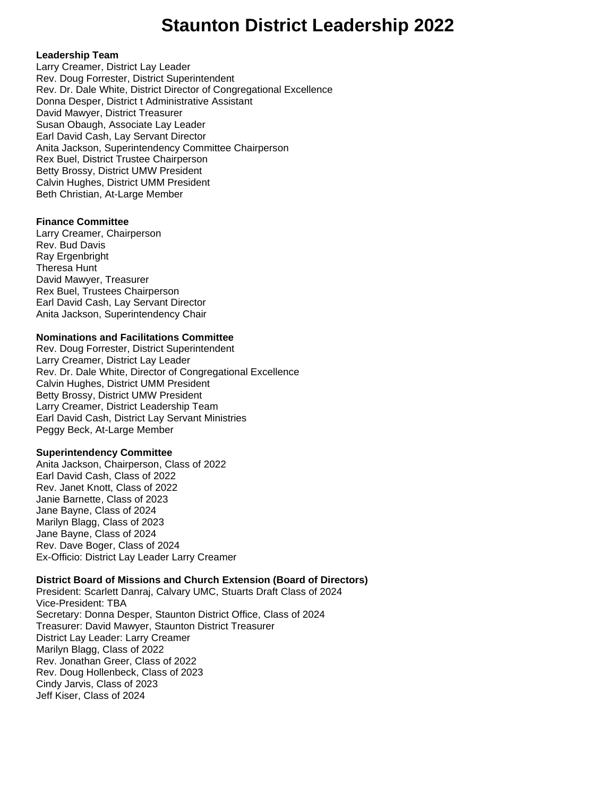# **Staunton District Leadership 2022**

#### **Leadership Team**

Larry Creamer, District Lay Leader Rev. Doug Forrester, District Superintendent Rev. Dr. Dale White, District Director of Congregational Excellence Donna Desper, District t Administrative Assistant David Mawyer, District Treasurer Susan Obaugh, Associate Lay Leader Earl David Cash, Lay Servant Director Anita Jackson, Superintendency Committee Chairperson Rex Buel, District Trustee Chairperson Betty Brossy, District UMW President Calvin Hughes, District UMM President Beth Christian, At-Large Member

### **Finance Committee**

Larry Creamer, Chairperson Rev. Bud Davis Ray Ergenbright Theresa Hunt David Mawyer, Treasurer Rex Buel, Trustees Chairperson Earl David Cash, Lay Servant Director Anita Jackson, Superintendency Chair

### **Nominations and Facilitations Committee**

Rev. Doug Forrester, District Superintendent Larry Creamer, District Lay Leader Rev. Dr. Dale White, Director of Congregational Excellence Calvin Hughes, District UMM President Betty Brossy, District UMW President Larry Creamer, District Leadership Team Earl David Cash, District Lay Servant Ministries Peggy Beck, At-Large Member

### **Superintendency Committee**

Anita Jackson, Chairperson, Class of 2022 Earl David Cash, Class of 2022 Rev. Janet Knott, Class of 2022 Janie Barnette, Class of 2023 Jane Bayne, Class of 2024 Marilyn Blagg, Class of 2023 Jane Bayne, Class of 2024 Rev. Dave Boger, Class of 2024 Ex-Officio: District Lay Leader Larry Creamer

### **District Board of Missions and Church Extension (Board of Directors)**

President: Scarlett Danraj, Calvary UMC, Stuarts Draft Class of 2024 Vice-President: TBA Secretary: Donna Desper, Staunton District Office, Class of 2024 Treasurer: David Mawyer, Staunton District Treasurer District Lay Leader: Larry Creamer Marilyn Blagg, Class of 2022 Rev. Jonathan Greer, Class of 2022 Rev. Doug Hollenbeck, Class of 2023 Cindy Jarvis, Class of 2023 Jeff Kiser, Class of 2024